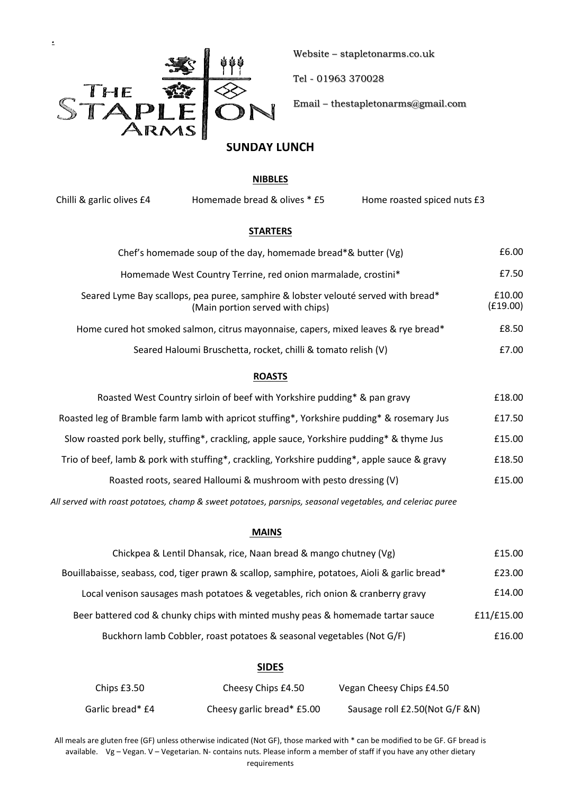

Website – stapletonarms.co.uk

Tel - 01963 370028

Email – thestapletonarms@gmail.com

# **SUNDAY LUNCH**

### **NIBBLES**

Chilli & garlic olives £4 Homemade bread & olives \* £5 Home roasted spiced nuts £3

#### **STARTERS**

| Chef's homemade soup of the day, homemade bread*& butter (Vg)                                                          | £6.00              |
|------------------------------------------------------------------------------------------------------------------------|--------------------|
| Homemade West Country Terrine, red onion marmalade, crostini*                                                          | £7.50              |
| Seared Lyme Bay scallops, pea puree, samphire & lobster velouté served with bread*<br>(Main portion served with chips) | £10.00<br>(E19.00) |
| Home cured hot smoked salmon, citrus mayonnaise, capers, mixed leaves & rye bread*                                     | £8.50              |
| Seared Haloumi Bruschetta, rocket, chilli & tomato relish (V)                                                          | £7.00              |

# **ROASTS**

| Roasted West Country sirloin of beef with Yorkshire pudding* & pan gravy                     | £18.00 |
|----------------------------------------------------------------------------------------------|--------|
| Roasted leg of Bramble farm lamb with apricot stuffing*, Yorkshire pudding* & rosemary Jus   | £17.50 |
| Slow roasted pork belly, stuffing*, crackling, apple sauce, Yorkshire pudding* & thyme Jus   | £15.00 |
| Trio of beef, lamb & pork with stuffing*, crackling, Yorkshire pudding*, apple sauce & gravy | £18.50 |
| Roasted roots, seared Halloumi & mushroom with pesto dressing (V)                            | £15.00 |

*All served with roast potatoes, champ & sweet potatoes, parsnips, seasonal vegetables, and celeriac puree*

#### **MAINS**

| Chickpea & Lentil Dhansak, rice, Naan bread & mango chutney (Vg)                              | £15.00     |
|-----------------------------------------------------------------------------------------------|------------|
| Bouillabaisse, seabass, cod, tiger prawn & scallop, samphire, potatoes, Aioli & garlic bread* | £23.00     |
| Local venison sausages mash potatoes & vegetables, rich onion & cranberry gravy               | £14.00     |
| Beer battered cod & chunky chips with minted mushy peas & homemade tartar sauce               | £11/£15.00 |
| Buckhorn lamb Cobbler, roast potatoes & seasonal vegetables (Not G/F)                         | £16.00     |

### **SIDES**

| Chips £3.50      | Cheesy Chips £4.50         | Vegan Cheesy Chips £4.50       |
|------------------|----------------------------|--------------------------------|
| Garlic bread* £4 | Cheesy garlic bread* £5.00 | Sausage roll £2.50(Not G/F &N) |

All meals are gluten free (GF) unless otherwise indicated (Not GF), those marked with \* can be modified to be GF. GF bread is available. Vg – Vegan. V – Vegetarian. N- contains nuts. Please inform a member of staff if you have any other dietary requirements